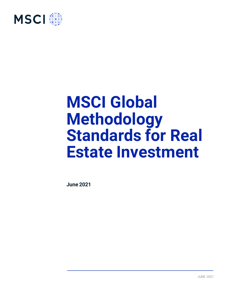

# **MSCI Global Methodology Standards for Real Estate Investment**

**June 2021**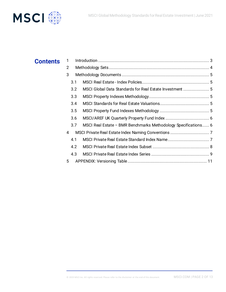

| <b>Contents</b> |                |                                                                |
|-----------------|----------------|----------------------------------------------------------------|
|                 | $\overline{2}$ |                                                                |
|                 | 3              |                                                                |
|                 | 3.1            |                                                                |
|                 | 3.2            |                                                                |
| 3.3             |                |                                                                |
|                 | 3.4            |                                                                |
|                 | 3.5            |                                                                |
|                 | 3.6            |                                                                |
|                 | 3.7            | MSCI Real Estate - BMR Benchmarks Methodology Specifications 6 |
|                 | 4              |                                                                |
|                 | 4.1            |                                                                |
|                 | 4.2            |                                                                |
|                 | 4.3            |                                                                |
|                 | 5              |                                                                |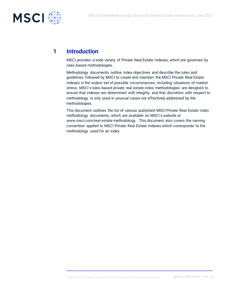

# **1 Introduction**

MSCI provides a wide variety of Private Real Estate Indexes, which are governed by rules-based methodologies.

Methodology documents outline index objectives and describe the rules and guidelines followed by MSCI to create and maintain the MSCI Private Real Estate Indexes in the widest set of possible circumstances, including situations of market stress. MSCI's rules-based private real estate index methodologies are designed to ensure that indexes are determined with integrity, and that discretion with respect to methodology is only used in unusual cases not effectively addressed by the methodologies.

This document outlines the list of various published MSCI Private Real Estate Index methodology documents, which are available on MSCI's website at www.msci.com/real-estate-methodology. This document also covers the naming convention applied to MSCI Private Real Estate Indexes which corresponds to the methodology used for an index.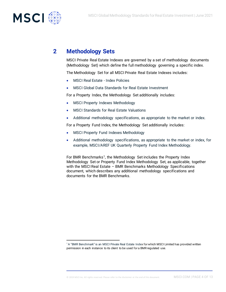

## **2 Methodology Sets**

MSCI Private Real Estate Indexes are governed by a set of methodology documents (Methodology Set) which define the full methodology governing a specific index.

The Methodology Set for all MSCI Private Real Estate Indexes includes:

- MSCI Real Estate Index Policies
- MSCI Global Data Standards for Real Estate Investment

For a Property Index, the Methodology Set additionally includes:

- MSCI Property Indexes Methodology
- MSCI Standards for Real Estate Valuations
- Additional methodology specifications, as appropriate to the market or index.

For a Property Fund Index, the Methodology Set additionally includes:

- MSCI Property Fund Indexes Methodology
- Additional methodology specifications, as appropriate to the market or index, for example, MSCI/AREF UK Quarterly Property Fund Index Methodology.

For BMR Benchmarks<sup>1</sup>, the Methodology Set includes the Property Index Methodology Set or Property Fund Index Methodology Set, as applicable, together with the MSCI Real Estate - BMR Benchmarks Methodology Specifications document, which describes any additional methodology specifications and documents for the BMR Benchmarks.

<sup>&</sup>lt;sup>1</sup> A "BMR Benchmark" is an MSCI Private Real Estate Index for which MSCI Limited has provided written permission in each instance to its client to be used for a BMR regulated use.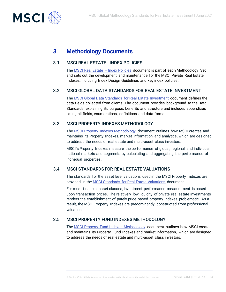

## **3 Methodology Documents**

#### 3.1 [MSCI REAL ESTATE -](https://www.msci.com/documents/1296102/12180844/MSCI+Real+Estate+Index+Design+Guidelines+and+Policies+January+2019.pdf/a7b7023a-ebc9-c2e5-fde9-34074294ed2e) INDEX POLICIES

The [MSCI Real Estate](https://www.msci.com/documents/1296102/1311232/MSCI+Real+Estate+-+Index+Policies.pdf/3ff76e55-16e6-d0a1-0521-bf1ee0e12ded?t=1560338188287&download=true) - Index Policies document is part of each Methodology Set and sets out the development and maintenance for the MSCI Private Real Estate Indexes, including Index Design Guidelines and key index policies.

#### 3.2 [MSCI GLOBAL DATA STANDARDS](https://www.msci.com/documents/1296102/12180844/MSCI+Global+Data+Standards+January+2019.pdf/f7b6b558-daff-4caa-09ce-7c96e82b81d2) FOR REAL ESTATE INVESTMENT

The [MSCI Global Data Standards for Real Estate Investment](https://www.msci.com/documents/1296102/1311232/MSCI+Global+Data+Standards+for+Real+Estate+Investment.pdf/35c1e209-575f-fc64-9572-86d02d66b5b8?t=1560338187268&download=true) document defines the data fields collected from clients. The document provides background to the Data Standards, explaining its purpose, benefits and structure and includes appendices listing all fields, enumerations, definitions and data formats.

#### 3.3 [MSCI PROPERTY INDEXES METHODOLOGY](https://www.msci.com/documents/1296102/12180844/MSCI+Methodology+for+Property+Fund+Indexes+January+2019.pdf/0094bf7c-62f8-14d3-5a24-09dbfb332210)

The [MSCI Property Indexes Methodology](https://www.msci.com/documents/1296102/1311232/MSCI+Property+Indexes+Methodology.pdf/a33f5a6c-a5e4-4d18-f460-d8c537ded968?t=1560423258726) document outlines how MSCI creates and maintains its Property Indexes, market information and analytics, which are designed to address the needs of real estate and multi-asset class investors.

MSCI's Property Indexes measure the performance of global, regional and individual national markets and segments by calculating and aggregating the performance of individual properties.

#### 3.4 [MSCI STANDARDS FOR REAL ESTATE VALUATIONS](https://www.msci.com/documents/1296102/12180844/MSCI+Requirements+for+Real+Estate+Valuations+January+2019.pdf/7da97ce2-7927-4cf0-8620-fd5a34cb5d1e)

The standards for the asset level valuations used in the MSCI Property Indexes are provided in th[e MSCI Standards for Real Estate Valuations](https://www.msci.com/documents/1296102/1311232/MSCI+Standards+for+Real+Estate+Valuations.pdf/9436873c-fdf3-c896-3cc3-0996fc11159e?t=1560338188051&download=true) document.

For most financial asset classes, investment performance measurement is based upon transaction prices. The relatively low liquidity of private real estate investments renders the establishment of purely price-based property indexes problematic. As a result, the MSCI Property Indexes are predominantly constructed from professional valuations.

## 3.5 [MSCI PROPERTY FUND INDEXES](https://www.msci.com/documents/1296102/12180844/MSCI+Methodology+for+Property+Fund+Indexes+January+2019.pdf/0094bf7c-62f8-14d3-5a24-09dbfb332210) METHODOLOGY

The [MSCI Property Fund Indexes Methodology](https://www.msci.com/documents/1296102/1311232/MSCI+Property+Fund+Indexes+Methodology.pdf/c6aa6d08-aba2-e608-be91-d69d53864256?t=1560338186894&download=true) document outlines how MSCI creates and maintains its Property Fund Indexes and market information, which are designed to address the needs of real estate and multi-asset class investors.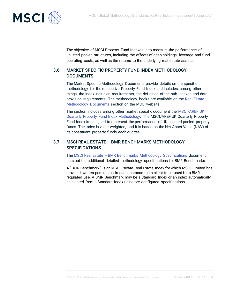

The objective of MSCI Property Fund Indexes is to measure the performance of unlisted pooled structures, including the effects of cash holdings, leverage and fund operating costs, as well as the returns to the underlying real estate assets.

## 3.6 MARKET SPECIFIC PROPERTY FUND INDEX METHODOLOGY DOCUMENTS

The Market Specific Methodology Documents provide details on the specific methodology for the respective Property Fund Index and includes, among other things, the index inclusion requirements, the definition of the sub-indexes and data provision requirements. The methodology books are available on the [Real Estate](https://www.msci.com/real-estate-methodology)  [Methodology Documents](https://www.msci.com/real-estate-methodology) section on the MSCI website.

The section includes among other market specific document the MSCI/AREF UK [Quarterly Property Fund Index Methodology.](https://www.msci.com/documents/1296102/1311232/MSCI+AREF+UK+Quarterly+Property+Fund+Index+Methodology.pdf/547a659d-8c42-1467-4b12-e339aa58548d?t=1560338187832&download=true) The MSCI/AREF UK Quarterly Property Fund Index is designed to represent the performance of UK unlisted pooled property funds. The Index is value-weighted, and it is based on the Net Asset Value (NAV) of its constituent property funds each quarter.

## 3.7 MSCI REAL ESTATE – BMR BENCHMARKS METHODOLOGY **SPECIFICATIONS**

The MSCI Real Estate – [BMR Benchmarks Methodology Specifications](https://www.msci.com/documents/1296102/1311232/MSCI+Real+Estate+%E2%80%93+BMR+Benchmarks+Methodology+Specifications.pdf/56adec2c-0616-1995-a0f1-c191f8cf559e?t=1560338188584&download=true) document sets out the additional detailed methodology specifications for BMR Benchmarks.

A "BMR Benchmark" is an MSCI Private Real Estate Index for which MSCI Limited has provided written permission in each instance to its client to be used for a BMR regulated use. A BMR Benchmark may be a Standard Index or an index automatically calculated from a Standard Index using pre-configured specifications.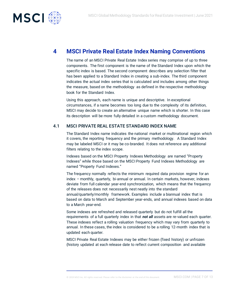

## **4 MSCI Private Real Estate Index Naming Conventions**

The name of an MSCI Private Real Estate Index series may comprise of up to three components. The first component is the name of the Standard Index upon which the specific index is based. The second component describes any selection filter that has been applied to a Standard Index in creating a sub-index. The third component indicates the actual index series that is calculated and includes among other things the measure, based on the methodology as defined in the respective methodology book for the Standard Index.

Using this approach, each name is unique and descriptive. In exceptional circumstances, if a name becomes too long due to the complexity of its definition, MSCI may decide to create an alternative unique name which is shorter. In this case its description will be more fully detailed in a custom methodology document.

#### 4.1 MSCI PRIVATE REAL ESTATE STANDARD INDEX NAME

The Standard Index name indicates the national market or multinational region which it covers, the reporting frequency and the primary methodology. A Standard Index may be labeled MSCI or it may be co-branded. It does not reference any additional filters relating to the index scope.

Indexes based on the MSCI Property Indexes Methodology are named "Property Indexes" while those based on the MSCI Property Fund Indexes Methodology are named "Property Fund Indexes."

The frequency normally reflects the minimum required data provision regime for an index – monthly, quarterly, bi-annual or annual. In certain markets, however, indexes deviate from full calendar year-end synchronization, which means that the frequency of the releases does not necessarily nest neatly into the standard annual/quarterly/monthly framework. Examples include a biannual index that is based on data to March and September year-ends, and annual indexes based on data to a March year-end.

Some indexes are refreshed and released quarterly but do not fulfill all the requirements of a full quarterly index in that *not all* assets are re-valued each quarter. These indexes reflect a rolling valuation frequency which may vary from quarterly to annual. In these cases, the index is considered to be a rolling 12-month index that is updated each quarter.

MSCI Private Real Estate Indexes may be either frozen (fixed history) or unfrozen (history updated at each release date to reflect current composition and available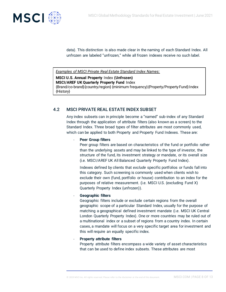

data). This distinction is also made clear in the naming of each Standard Index. All unfrozen are labeled "unfrozen," while all frozen indexes receive no such label.

*Examples of MSCI Private Real Estate Standard Index Names:*

**MSCI U.S. Annual Property** Index **(Unfrozen) MSCI/AREF UK Quarterly Property Fund** Index {Brand/co-brand}{country/region} {minimum frequency}{Property/Property Fund}Index {History}

## 4.2 MSCI PRIVATE REAL ESTATE INDEX SUBSET

Any index subsets can in principle become a "named" sub-index of any Standard Index through the application of attribute filters (also known as a screen) to the Standard Index. Three broad types of filter attributes are most commonly used, which can be applied to both Property and Property Fund Indexes. These are:

#### **Peer Group filters**

Peer group filters are based on characteristics of the fund or portfolio rather than the underlying assets and may be linked to the type of investor, the structure of the fund, its investment strategy or mandate, or its overall size (i.e. MSCI/AREF UK All Balanced Quarterly Property Fund Index).

Indexes defined by clients that *exclude* specific portfolios or funds fall into this category. Such screening is commonly used when clients wish to exclude their own (fund, portfolio or house) contribution to an index for the purposes of relative measurement. (i.e. MSCI U.S. (excluding Fund X) Quarterly Property Index (unfrozen)).

#### - **Geographic filters**

Geographic filters include or exclude certain regions from the overall geographic scope of a particular Standard Index, usually for the purpose of matching a geographical defined investment mandate (i.e. MSCI UK Central London Quarterly Property Index). One or more countries may be ruled out of a multinational index or a subset of regions from a country index. In certain cases, a mandate will focus on a very specific target area for investment and this will require an equally specific index.

#### **Property attribute filters**

Property attribute filters encompass a wide variety of asset characteristics that can be used to define index subsets. These attributes are most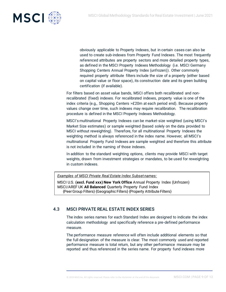

obviously applicable to Property Indexes, but in certain cases can also be used to create sub-indexes from Property Fund Indexes. The most frequently referenced attributes are property sectors and more detailed property types, as defined in the MSCI Property Indexes Methodology (i.e. MSCI Germany Shopping Centers Annual Property Index (unfrozen)). Other commonly required property attribute filters include the size of a property (either based on capital value or floor space), its construction date and its green building certification (if available).

For filters based on asset value bands, MSCI offers both recalibrated and nonrecalibrated (fixed) indexes. For recalibrated indexes, property value is one of the index criteria (e.g., Shopping Centers >£20m at each period end). Because property values change over time, such indexes may require recalibration. The recalibration procedure is defined in the MSCI Property Indexes Methodology.

MSCI's multinational Property Indexes can be market-size weighted (using MSCI's Market Size estimates) or sample weighted (based solely on the data provided to MSCI without reweighting). Therefore, for all multinational Property Indexes the weighting method is always referenced in the index name. However, all MSCI's multinational Property Fund Indexes are sample weighted and therefore this attribute is not included in the naming of those indexes.

In addition to the standard weighting options, clients may provide MSCI with target weights, drawn from investment strategies or mandates, to be used for reweighting in custom indexes.

*Examples of MSCI Private Real Estate Index Subset names:*

MSCI U.S. **(excl. Fund xxx) New York Office** Annual Property Index (Unfrozen) MSCI/AREF UK **All Balanced** Quarterly Property Fund Index {Peer Group Filters} {Geographic Filters} {Property Attribute Filters}

## 4.3 MSCI PRIVATE REAL ESTATE INDEX SERIES

The index series names for each Standard Index are designed to indicate the index calculation methodology and specifically reference a pre-defined performance measure.

The performance measure reference will often include additional elements so that the full designation of the measure is clear. The most commonly used and reported performance measure is total return, but any other performance measure may be reported and thus referenced in the series name. For property fund indexes more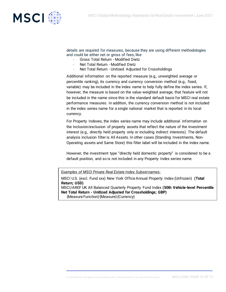

details are required for measures, because they are using different methodologies and could be either net or gross of fees, like:

- Gross Total Return Modified Dietz
- Net Total Return Modified Dietz
- Net Total Return Unitized Adjusted for Crossholdings

Additional information on the reported measure (e.g., unweighted average or percentile ranking), its currency and currency conversion method (e.g., fixed, variable) may be included in the index name to help fully define the index series. If, however, the measure is based on the value-weighted average, that feature will not be included in the name since this is the standard default basis for MSCI real estate performance measures. In addition, the currency conversion method is not included in the index series name for a single national market that is reported in its local currency.

For Property Indexes, the index series name may include additional information on the inclusion/exclusion of property assets that reflect the nature of the investment interest (e.g., directly held property only or including indirect interests). The default analysis inclusion filter is All Assets. In other cases (Standing Investments, Non-Operating assets and Same Store) this filter label will be included in the index name.

However, the investment type "directly held domestic property" is considered to be a default position, and so is not included in any Property Index series name.

*Examples of MSCI Private Real Estate Index Subset names:*

MSCI U.S. (excl. Fund xxx) New York Office Annual Property Index (Unfrozen) **(Total Return; USD)** MSCI/AREF UK All Balanced Quarterly Property Fund Index **(50th Vehicle-level Percentile Net Total Return - Unitized Adjusted for Crossholdings; GBP)** {Measure Function} {Measure} {Currency}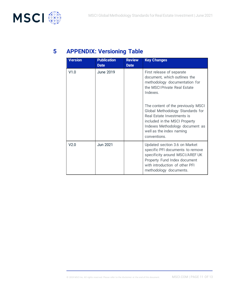

# **5 APPENDIX: Versioning Table**

| <b>Version</b> | <b>Publication</b><br><b>Review</b> |             | <b>Key Changes</b>                                                                                                                                                                                                   |  |
|----------------|-------------------------------------|-------------|----------------------------------------------------------------------------------------------------------------------------------------------------------------------------------------------------------------------|--|
|                | <b>Date</b>                         | <b>Date</b> |                                                                                                                                                                                                                      |  |
| V1.0           | June 2019                           |             | First release of separate<br>document, which outlines the<br>methodology documentation for<br>the MSCI Private Real Estate<br>Indexes.                                                                               |  |
|                |                                     |             | The content of the previously MSCI<br>Global Methodology Standards for<br>Real Estate Investments is<br>included in the MSCI Property<br>Indexes Methodology document as<br>well as the index naming<br>conventions. |  |
| V2.0           | Jun 2021                            |             | Updated section 3.6 on Market<br>specific PFI documents to remove<br>specificity around MSCI/AREF UK<br>Property Fund Index document<br>with introduction of other PFI<br>methodology documents.                     |  |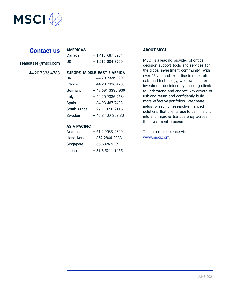

# **Contact us**

|  | realestate@msci.com |  |
|--|---------------------|--|

+ 44 20 7336 4783

| l IS                                                                | + 1 212 804 3900                                                                                                                                                              |
|---------------------------------------------------------------------|-------------------------------------------------------------------------------------------------------------------------------------------------------------------------------|
| UK<br>France<br>Germany<br>Italy<br>Spain<br>South Africa<br>Sweden | EUROPE, MIDDLE EAST & AFRICA<br>+ 44 20 7336 9200<br>+ 44 20 7336 4783<br>+ 49 691 3385 900<br>+ 44 20 7336 9684<br>+ 34 93 467 7403<br>+ 27 11 656 2115<br>+ 46 8 400 252 30 |
|                                                                     |                                                                                                                                                                               |

Canada + 1 416 687 6284

#### **ASIA PACIFIC**

**AMERICAS**

| Australia | + 61 2 9033 9300 |
|-----------|------------------|
| Hong Kong | + 852 2844 9333  |
| Singapore | + 65 6826 9339   |
| Japan     | + 81 3 5211 1455 |

#### **ABOUT MSCI**

MSCI is a leading provider of critical decision support tools and services for the global investment community. With over 45 years of expertise in research, data and technology, we power better investment decisions by enabling clients to understand and analyze key drivers of risk and return and confidently build more effective portfolios. We create industry-leading research-enhanced solutions that clients use to gain insight into and improve transparency across the investment process.

To learn more, please visit www.msci.com.